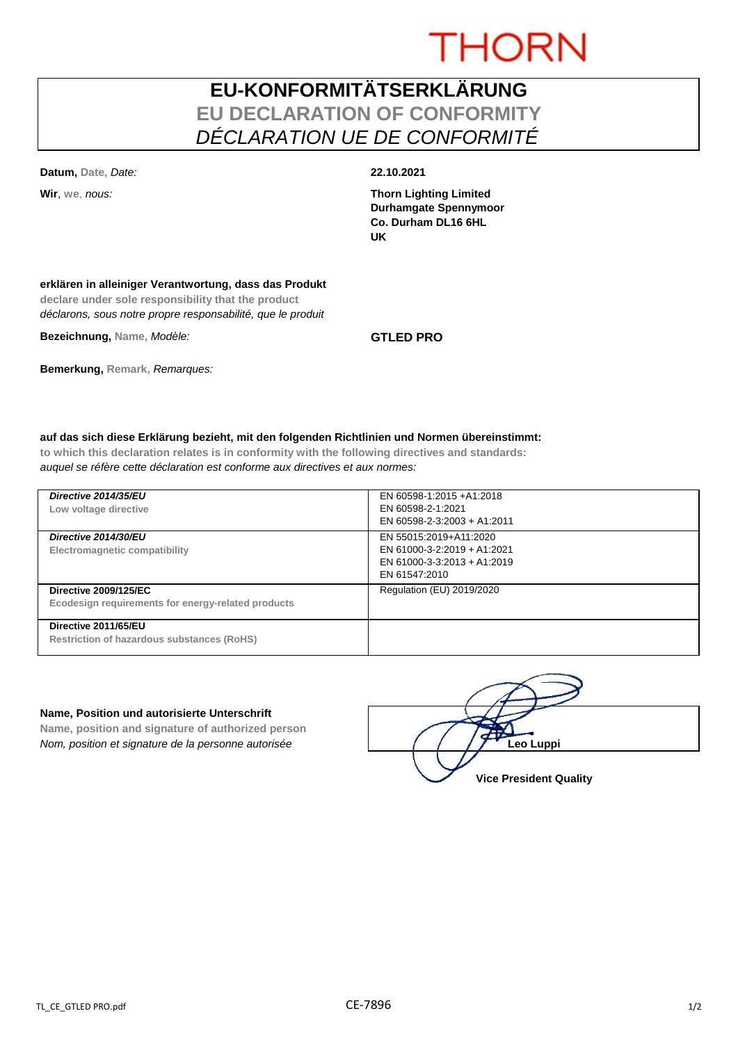# THORN

## **EU-KONFORMITÄTSERKLÄRUNG EU DECLARATION OF CONFORMITY** *DÉCLARATION UE DE CONFORMITÉ*

**Datum, Date,** *Date:* **22.10.2021**

**Wir**, **we**, *nous:* **Thorn Lighting Limited Durhamgate Spennymoor Co. Durham DL16 6HL UK**

### **erklären in alleiniger Verantwortung, dass das Produkt**

**declare under sole responsibility that the product** *déclarons, sous notre propre responsabilité, que le produit*

**Bezeichnung, Name,** *Modèle:* **GTLED PRO**

**Bemerkung, Remark,** *Remarques:*

### **auf das sich diese Erklärung bezieht, mit den folgenden Richtlinien und Normen übereinstimmt:**

**to which this declaration relates is in conformity with the following directives and standards:** *auquel se réfère cette déclaration est conforme aux directives et aux normes:*

| Directive 2014/35/EU<br>Low voltage directive                                      | EN 60598-1:2015 +A1:2018<br>EN 60598-2-1:2021<br>EN 60598-2-3:2003 + A1:2011                          |
|------------------------------------------------------------------------------------|-------------------------------------------------------------------------------------------------------|
| Directive 2014/30/EU<br><b>Electromagnetic compatibility</b>                       | EN 55015:2019+A11:2020<br>EN 61000-3-2:2019 + A1:2021<br>EN 61000-3-3:2013 + A1:2019<br>EN 61547:2010 |
| <b>Directive 2009/125/EC</b><br>Ecodesign requirements for energy-related products | Regulation (EU) 2019/2020                                                                             |
| Directive 2011/65/EU<br>Restriction of hazardous substances (RoHS)                 |                                                                                                       |

### **Name, Position und autorisierte Unterschrift**

**Name, position and signature of authorized person** *Nom, position et signature de la personne autorisée*  $\left( \left( \left( \right) \right)$  **Leo Luppi** 

**Vice President Quality**